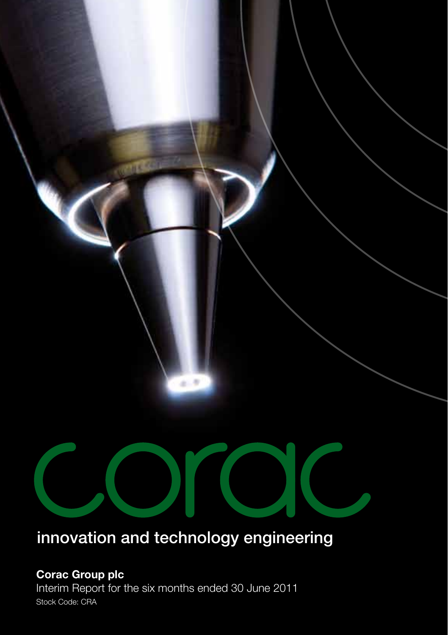### $\mathbf{I}$

### innovation and technology engineering

Corac Group plc Interim Report for the six months ended 30 June 2011 Stock Code: CRA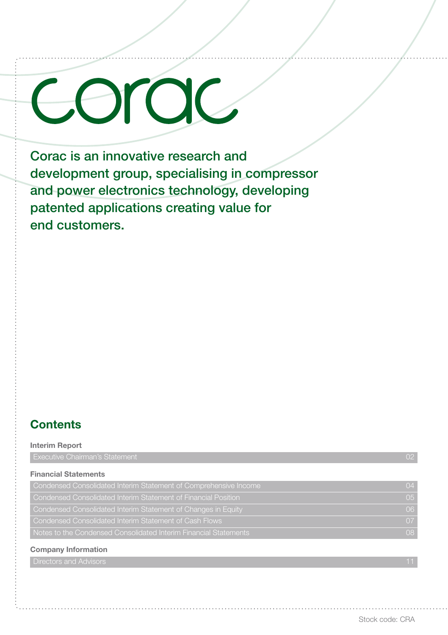# corac

Corac is an innovative research and development group, specialising in compressor and power electronics technology, developing patented applications creating value for end customers.

### **Contents**

### Interim Report

| Executive Chairman's Statement                                   | 02              |
|------------------------------------------------------------------|-----------------|
| <b>Financial Statements</b>                                      |                 |
| Condensed Consolidated Interim Statement of Comprehensive Income | 04              |
| Condensed Consolidated Interim Statement of Financial Position   | 05 <sub>1</sub> |
| Condensed Consolidated Interim Statement of Changes in Equity    | 06              |
| Condensed Consolidated Interim Statement of Cash Flows           | 07 <sup>°</sup> |
| Notes to the Condensed Consolidated Interim Financial Statements | 08              |

### Company Information

Directors and Advisors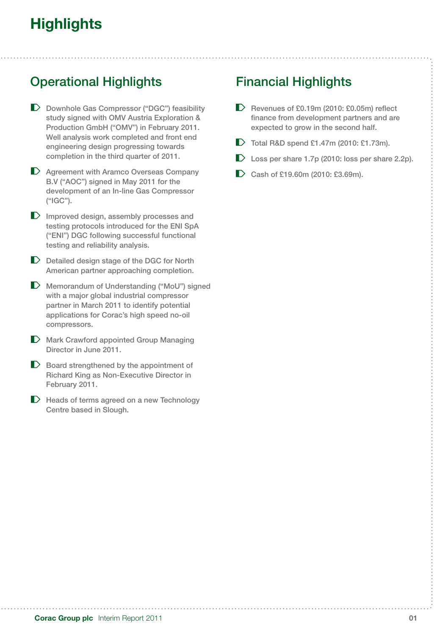### **Operational Highlights Financial Highlights**

- $\triangleright$  Downhole Gas Compressor ("DGC") feasibility study signed with OMV Austria Exploration & Production GmbH ("OMV") in February 2011. Well analysis work completed and front end engineering design progressing towards completion in the third quarter of 2011.
- $\triangleright$  Agreement with Aramco Overseas Company B.V ("AOC") signed in May 2011 for the development of an In-line Gas Compressor ("IGC").
- $\mathbb D$  Improved design, assembly processes and testing protocols introduced for the ENI SpA ("ENI") DGC following successful functional testing and reliability analysis.
- $\triangleright$  Detailed design stage of the DGC for North American partner approaching completion.
- $\triangleright$  Memorandum of Understanding ("MoU") signed with a major global industrial compressor partner in March 2011 to identify potential applications for Corac's high speed no-oil compressors.
- $\triangleright$  Mark Crawford appointed Group Managing Director in June 2011.
- $\triangleright$  Board strengthened by the appointment of Richard King as Non-Executive Director in February 2011.
- $\triangleright$  Heads of terms agreed on a new Technology Centre based in Slough.

- $\triangleright$  Revenues of £0.19m (2010: £0.05m) reflect finance from development partners and are expected to grow in the second half.
- $\triangleright$  Total R&D spend £1.47m (2010: £1.73m).
- $\triangleright$  Loss per share 1.7p (2010: loss per share 2.2p).
- $\triangleright$  Cash of £19.60m (2010: £3.69m).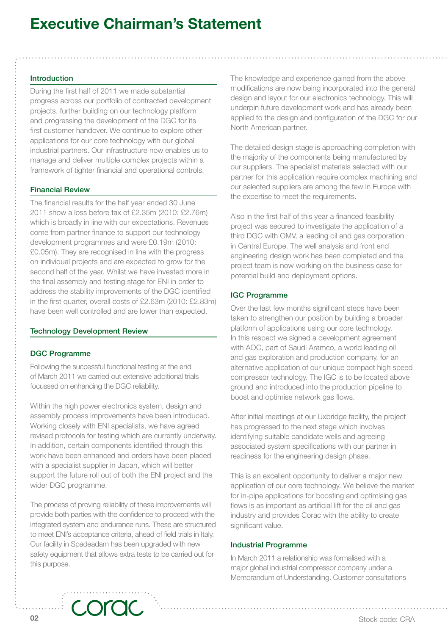### Executive Chairman's Statement

#### Introduction

During the first half of 2011 we made substantial progress across our portfolio of contracted development projects, further building on our technology platform and progressing the development of the DGC for its first customer handover. We continue to explore other applications for our core technology with our global industrial partners. Our infrastructure now enables us to manage and deliver multiple complex projects within a framework of tighter financial and operational controls.

#### Financial Review

The financial results for the half year ended 30 June 2011 show a loss before tax of £2.35m (2010: £2.76m) which is broadly in line with our expectations. Revenues come from partner finance to support our technology development programmes and were £0.19m (2010: £0.05m). They are recognised in line with the progress on individual projects and are expected to grow for the second half of the year. Whilst we have invested more in the final assembly and testing stage for ENI in order to address the stability improvements of the DGC identified in the first quarter, overall costs of £2.63m (2010: £2.83m) have been well controlled and are lower than expected.

### Technology Development Review

#### DGC Programme

Following the successful functional testing at the end of March 2011 we carried out extensive additional trials focussed on enhancing the DGC reliability.

Within the high power electronics system, design and assembly process improvements have been introduced. Working closely with ENI specialists, we have agreed revised protocols for testing which are currently underway. In addition, certain components identified through this work have been enhanced and orders have been placed with a specialist supplier in Japan, which will better support the future roll out of both the ENI project and the wider DGC programme.

The process of proving reliability of these improvements will provide both parties with the confidence to proceed with the integrated system and endurance runs. These are structured to meet ENI's acceptance criteria, ahead of field trials in Italy. Our facility in Spadeadam has been upgraded with new safety equipment that allows extra tests to be carried out for this purpose.

The knowledge and experience gained from the above modifications are now being incorporated into the general design and layout for our electronics technology. This will underpin future development work and has already been applied to the design and configuration of the DGC for our North American partner.

The detailed design stage is approaching completion with the majority of the components being manufactured by our suppliers. The specialist materials selected with our partner for this application require complex machining and our selected suppliers are among the few in Europe with the expertise to meet the requirements.

Also in the first half of this year a financed feasibility project was secured to investigate the application of a third DGC with OMV, a leading oil and gas corporation in Central Europe. The well analysis and front end engineering design work has been completed and the project team is now working on the business case for potential build and deployment options.

#### IGC Programme

Over the last few months significant steps have been taken to strengthen our position by building a broader platform of applications using our core technology. In this respect we signed a development agreement with AOC, part of Saudi Aramco, a world leading oil and gas exploration and production company, for an alternative application of our unique compact high speed compressor technology. The IGC is to be located above ground and introduced into the production pipeline to boost and optimise network gas flows.

After initial meetings at our Uxbridge facility, the project has progressed to the next stage which involves identifying suitable candidate wells and agreeing associated system specifications with our partner in readiness for the engineering design phase.

This is an excellent opportunity to deliver a major new application of our core technology. We believe the market for in-pipe applications for boosting and optimising gas flows is as important as artificial lift for the oil and gas industry and provides Corac with the ability to create significant value.

#### Industrial Programme

In March 2011 a relationship was formalised with a major global industrial compressor company under a Memorandum of Understanding. Customer consultations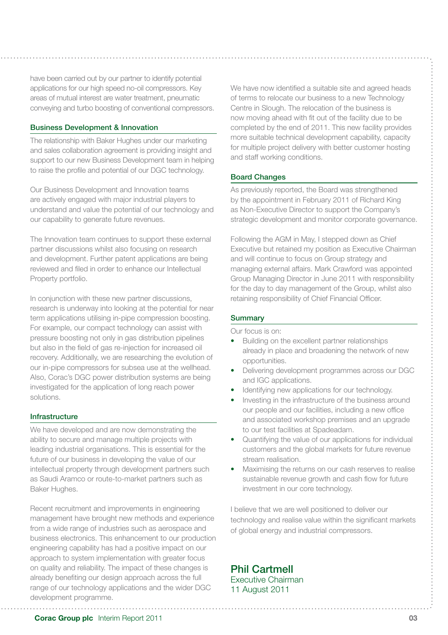have been carried out by our partner to identify potential applications for our high speed no-oil compressors. Key areas of mutual interest are water treatment, pneumatic conveying and turbo boosting of conventional compressors.

### Business Development & Innovation

The relationship with Baker Hughes under our marketing and sales collaboration agreement is providing insight and support to our new Business Development team in helping to raise the profile and potential of our DGC technology.

Our Business Development and Innovation teams are actively engaged with major industrial players to understand and value the potential of our technology and our capability to generate future revenues.

The Innovation team continues to support these external partner discussions whilst also focusing on research and development. Further patent applications are being reviewed and filed in order to enhance our Intellectual Property portfolio.

In conjunction with these new partner discussions, research is underway into looking at the potential for near term applications utilising in-pipe compression boosting. For example, our compact technology can assist with pressure boosting not only in gas distribution pipelines but also in the field of gas re-injection for increased oil recovery. Additionally, we are researching the evolution of our in-pipe compressors for subsea use at the wellhead. Also, Corac's DGC power distribution systems are being investigated for the application of long reach power solutions.

#### Infrastructure

We have developed and are now demonstrating the ability to secure and manage multiple projects with leading industrial organisations. This is essential for the future of our business in developing the value of our intellectual property through development partners such as Saudi Aramco or route-to-market partners such as Baker Hughes.

Recent recruitment and improvements in engineering management have brought new methods and experience from a wide range of industries such as aerospace and business electronics. This enhancement to our production engineering capability has had a positive impact on our approach to system implementation with greater focus on quality and reliability. The impact of these changes is already benefiting our design approach across the full range of our technology applications and the wider DGC development programme.

We have now identified a suitable site and agreed heads of terms to relocate our business to a new Technology Centre in Slough. The relocation of the business is now moving ahead with fit out of the facility due to be completed by the end of 2011. This new facility provides more suitable technical development capability, capacity for multiple project delivery with better customer hosting and staff working conditions.

#### Board Changes

As previously reported, the Board was strengthened by the appointment in February 2011 of Richard King as Non-Executive Director to support the Company's strategic development and monitor corporate governance.

Following the AGM in May, I stepped down as Chief Executive but retained my position as Executive Chairman and will continue to focus on Group strategy and managing external affairs. Mark Crawford was appointed Group Managing Director in June 2011 with responsibility for the day to day management of the Group, whilst also retaining responsibility of Chief Financial Officer.

### **Summary**

Our focus is on:

- Building on the excellent partner relationships already in place and broadening the network of new opportunities.
- Delivering development programmes across our DGC and IGC applications.
- Identifying new applications for our technology.
- Investing in the infrastructure of the business around our people and our facilities, including a new office and associated workshop premises and an upgrade to our test facilities at Spadeadam.
- Quantifying the value of our applications for individual customers and the global markets for future revenue stream realisation.
- Maximising the returns on our cash reserves to realise sustainable revenue growth and cash flow for future investment in our core technology.

I believe that we are well positioned to deliver our technology and realise value within the significant markets of global energy and industrial compressors.

Phil Cartmell Executive Chairman 11 August 2011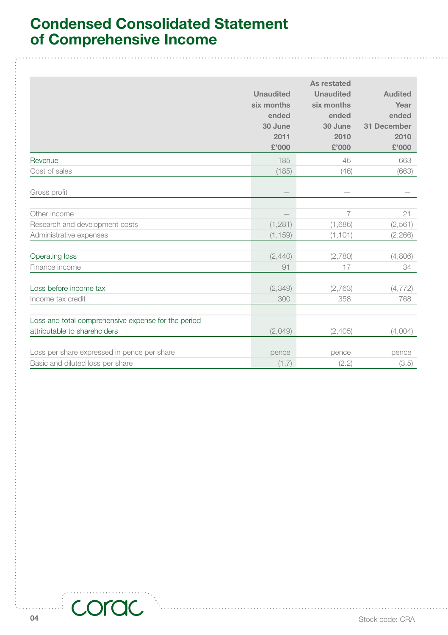### Condensed Consolidated Statement of Comprehensive Income

|                                                     | <b>Unaudited</b><br>six months<br>ended<br>30 June<br>2011<br>£'000 | As restated<br><b>Unaudited</b><br>six months<br>ended<br>30 June<br>2010<br>£'000 | Audited<br>Year<br>ended<br>31 December<br>2010<br>£'000 |
|-----------------------------------------------------|---------------------------------------------------------------------|------------------------------------------------------------------------------------|----------------------------------------------------------|
| Revenue                                             | 185                                                                 | 46                                                                                 | 663                                                      |
| Cost of sales                                       | (185)                                                               | (46)                                                                               | (663)                                                    |
| Gross profit                                        |                                                                     |                                                                                    |                                                          |
| Other income                                        |                                                                     | 7                                                                                  | 21                                                       |
| Research and development costs                      | (1, 281)                                                            | (1,686)                                                                            | (2, 561)                                                 |
| Administrative expenses                             | (1, 159)                                                            | (1, 101)                                                                           | (2, 266)                                                 |
| Operating loss                                      | (2,440)                                                             | (2,780)                                                                            | (4,806)                                                  |
| Finance income                                      | 91                                                                  | 17                                                                                 | 34                                                       |
| Loss before income tax                              | (2, 349)                                                            | (2,763)                                                                            | (4, 772)                                                 |
| Income tax credit                                   | 300                                                                 | 358                                                                                | 768                                                      |
|                                                     |                                                                     |                                                                                    |                                                          |
| Loss and total comprehensive expense for the period |                                                                     |                                                                                    |                                                          |
| attributable to shareholders                        | (2,049)                                                             | (2,405)                                                                            | (4,004)                                                  |
| Loss per share expressed in pence per share         | pence                                                               | pence                                                                              | pence                                                    |
| Basic and diluted loss per share                    | (1.7)                                                               | (2.2)                                                                              | (3.5)                                                    |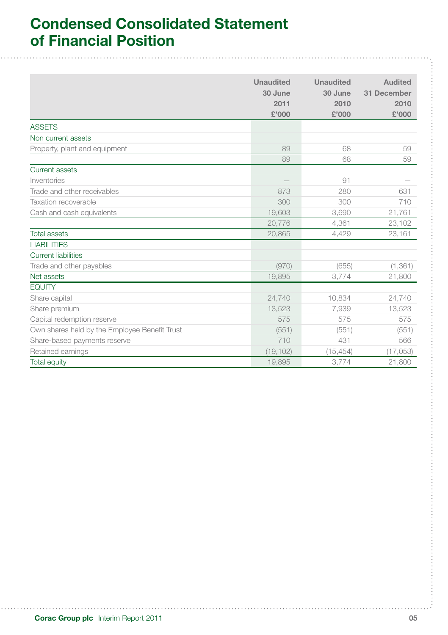### Condensed Consolidated Statement of Financial Position

|                                               | <b>Unaudited</b> | <b>Unaudited</b> | <b>Audited</b> |
|-----------------------------------------------|------------------|------------------|----------------|
|                                               | 30 June          | 30 June          | 31 December    |
|                                               | 2011             | 2010             | 2010           |
|                                               | £'000            | £'000            | £'000          |
| <b>ASSETS</b>                                 |                  |                  |                |
| Non current assets                            |                  |                  |                |
| Property, plant and equipment                 | 89               | 68               | 59             |
|                                               | 89               | 68               | 59             |
| Current assets                                |                  |                  |                |
| Inventories                                   |                  | 91               |                |
| Trade and other receivables                   | 873              | 280              | 631            |
| Taxation recoverable                          | 300              | 300              | 710            |
| Cash and cash equivalents                     | 19,603           | 3.690            | 21,761         |
|                                               | 20.776           | 4.361            | 23,102         |
| <b>Total assets</b>                           | 20,865           | 4,429            | 23,161         |
| <b>LIABILITIES</b>                            |                  |                  |                |
| <b>Current liabilities</b>                    |                  |                  |                |
| Trade and other payables                      | (970)            | (655)            | (1, 361)       |
| Net assets                                    | 19,895           | 3.774            | 21,800         |
| <b>EQUITY</b>                                 |                  |                  |                |
| Share capital                                 | 24,740           | 10,834           | 24,740         |
| Share premium                                 | 13,523           | 7.939            | 13,523         |
| Capital redemption reserve                    | 575              | 575              | 575            |
| Own shares held by the Employee Benefit Trust | (551)            | (551)            | (551)          |
| Share-based payments reserve                  | 710              | 431              | 566            |
| Retained earnings                             | (19, 102)        | (15, 454)        | (17, 053)      |
| <b>Total equity</b>                           | 19,895           | 3,774            | 21,800         |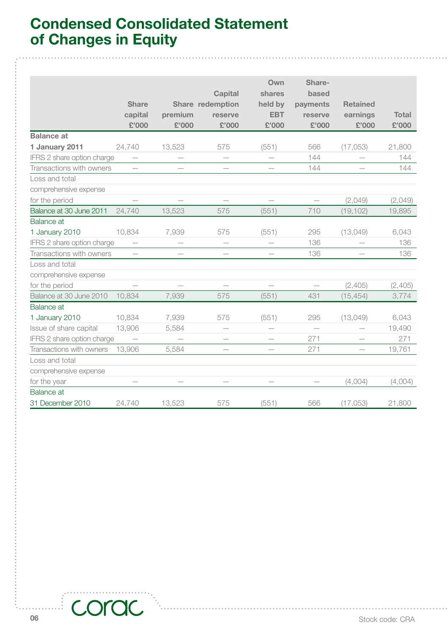### Condensed Consolidated Statement of Changes in Equity

|                            | Share<br>capital<br>£'000 | premium<br>£'000 | Capital<br>Share redemption<br>reserve<br>£'000 | Own<br>shares<br>held by<br><b>EBT</b><br>£'000 | Share-<br>based<br>payments<br>reserve<br>£'000 | <b>Retained</b><br>earnings<br>£'000 | Total<br>£'000 |
|----------------------------|---------------------------|------------------|-------------------------------------------------|-------------------------------------------------|-------------------------------------------------|--------------------------------------|----------------|
| <b>Balance</b> at          |                           |                  |                                                 |                                                 |                                                 |                                      |                |
| 1 January 2011             | 24,740                    | 13,523           | 575                                             | (551)                                           | 566                                             | (17,053)                             | 21,800         |
| IFRS 2 share option charge | $\overline{\phantom{0}}$  |                  |                                                 | -                                               | 144                                             |                                      | 144            |
| Transactions with owners   |                           |                  |                                                 |                                                 | 144                                             |                                      | 144            |
| Loss and total             |                           |                  |                                                 |                                                 |                                                 |                                      |                |
| comprehensive expense      |                           |                  |                                                 |                                                 |                                                 |                                      |                |
| for the period             |                           |                  |                                                 |                                                 |                                                 | (2,049)                              | (2,049)        |
| Balance at 30 June 2011    | 24.740                    | 13.523           | 575                                             | (551)                                           | 710                                             | (19, 102)                            | 19,895         |
| Balance at                 |                           |                  |                                                 |                                                 |                                                 |                                      |                |
| 1 January 2010             | 10.834                    | 7.939            | 575                                             | (551)                                           | 295                                             | (13,049)                             | 6.043          |
| IFRS 2 share option charge | -                         |                  | $\qquad \qquad$                                 |                                                 | 136                                             |                                      | 136            |
| Transactions with owners   |                           |                  | -                                               |                                                 | 136                                             |                                      | 136            |
| Loss and total             |                           |                  |                                                 |                                                 |                                                 |                                      |                |
| comprehensive expense      |                           |                  |                                                 |                                                 |                                                 |                                      |                |
| for the period             |                           |                  |                                                 |                                                 |                                                 | (2,405)                              | (2,405)        |
| Balance at 30 June 2010    | 10,834                    | 7,939            | 575                                             | (551)                                           | 431                                             | (15, 454)                            | 3,774          |
| Balance at                 |                           |                  |                                                 |                                                 |                                                 |                                      |                |
| 1 January 2010             | 10,834                    | 7,939            | 575                                             | (551)                                           | 295                                             | (13,049)                             | 6,043          |
| Issue of share capital     | 13,906                    | 5,584            | -                                               |                                                 |                                                 |                                      | 19,490         |
| IFRS 2 share option charge |                           |                  | -                                               |                                                 | 271                                             |                                      | 271            |
| Transactions with owners   | 13,906                    | 5,584            |                                                 | $\overline{\phantom{m}}$                        | 271                                             | -                                    | 19,761         |
| Loss and total             |                           |                  |                                                 |                                                 |                                                 |                                      |                |
| comprehensive expense      |                           |                  |                                                 |                                                 |                                                 |                                      |                |
| for the year               |                           |                  |                                                 |                                                 |                                                 | (4,004)                              | (4,004)        |
| Balance at                 |                           |                  |                                                 |                                                 |                                                 |                                      |                |
| 31 December 2010           | 24,740                    | 13,523           | 575                                             | (551)                                           | 566                                             | (17,053)                             | 21,800         |

 $\mathbb{R}^2$  C

rac,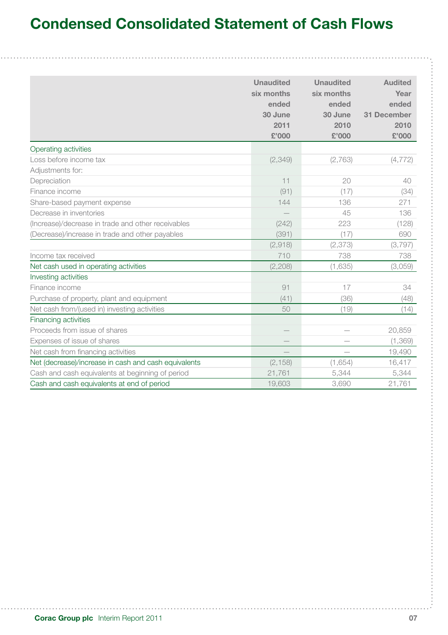### Condensed Consolidated Statement of Cash Flows

|                                                      | <b>Unaudited</b><br>six months | <b>Unaudited</b><br>six months | Audited<br>Year |
|------------------------------------------------------|--------------------------------|--------------------------------|-----------------|
|                                                      | ended                          | ended                          | ended           |
|                                                      | 30 June                        | 30 June                        | 31 December     |
|                                                      | 2011                           | 2010                           | 2010            |
|                                                      | £'000                          | £'000                          | £'000           |
| Operating activities                                 |                                |                                |                 |
| Loss before income tax                               | (2, 349)                       | (2,763)                        | (4, 772)        |
| Adjustments for:                                     |                                |                                |                 |
| Depreciation                                         | 11                             | 20                             | 40              |
| Finance income                                       | (91)                           | (17)                           | (34)            |
| Share-based payment expense                          | 144                            | 136                            | 271             |
| Decrease in inventories                              |                                | 45                             | 136             |
| (Increase)/decrease in trade and other receivables   | (242)                          | 223                            | (128)           |
| (Decrease)/increase in trade and other payables      | (391)                          | (17)                           | 690             |
|                                                      | (2,918)                        | (2, 373)                       | (3,797)         |
| Income tax received                                  | 710                            | 738                            | 738             |
| Net cash used in operating activities                | (2,208)                        | (1,635)                        | (3,059)         |
| Investing activities                                 |                                |                                |                 |
| Finance income                                       | 91                             | 17                             | 34              |
| Purchase of property, plant and equipment            | (41)                           | (36)                           | (48)            |
| Net cash from/(used in) investing activities         | 50                             | (19)                           | (14)            |
| <b>Financing activities</b>                          |                                |                                |                 |
| Proceeds from issue of shares                        |                                |                                | 20,859          |
| Expenses of issue of shares                          |                                |                                | (1,369)         |
| Net cash from financing activities                   |                                |                                | 19,490          |
| Net (decrease)/increase in cash and cash equivalents | (2, 158)                       | (1,654)                        | 16,417          |
| Cash and cash equivalents at beginning of period     | 21.761                         | 5,344                          | 5,344           |
| Cash and cash equivalents at end of period           | 19,603                         | 3.690                          | 21,761          |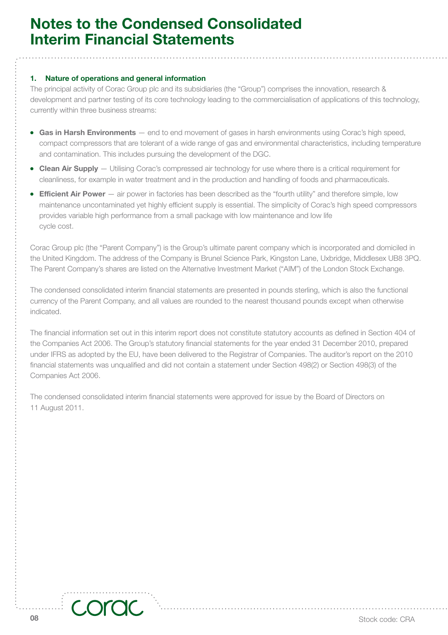### 1. Nature of operations and general information

The principal activity of Corac Group plc and its subsidiaries (the "Group") comprises the innovation, research & development and partner testing of its core technology leading to the commercialisation of applications of this technology, currently within three business streams:

- **Gas in Harsh Environments** end to end movement of gases in harsh environments using Corac's high speed, compact compressors that are tolerant of a wide range of gas and environmental characteristics, including temperature and contamination. This includes pursuing the development of the DGC.
- Clean Air Supply Utilising Corac's compressed air technology for use where there is a critical requirement for cleanliness, for example in water treatment and in the production and handling of foods and pharmaceuticals.
- **Efficient Air Power** air power in factories has been described as the "fourth utility" and therefore simple, low maintenance uncontaminated yet highly efficient supply is essential. The simplicity of Corac's high speed compressors provides variable high performance from a small package with low maintenance and low life cycle cost.

Corac Group plc (the "Parent Company") is the Group's ultimate parent company which is incorporated and domiciled in the United Kingdom. The address of the Company is Brunel Science Park, Kingston Lane, Uxbridge, Middlesex UB8 3PQ. The Parent Company's shares are listed on the Alternative Investment Market ("AIM") of the London Stock Exchange.

The condensed consolidated interim financial statements are presented in pounds sterling, which is also the functional currency of the Parent Company, and all values are rounded to the nearest thousand pounds except when otherwise indicated.

The financial information set out in this interim report does not constitute statutory accounts as defined in Section 404 of the Companies Act 2006. The Group's statutory financial statements for the year ended 31 December 2010, prepared under IFRS as adopted by the EU, have been delivered to the Registrar of Companies. The auditor's report on the 2010 financial statements was unqualified and did not contain a statement under Section 498(2) or Section 498(3) of the Companies Act 2006.

The condensed consolidated interim financial statements were approved for issue by the Board of Directors on 11 August 2011.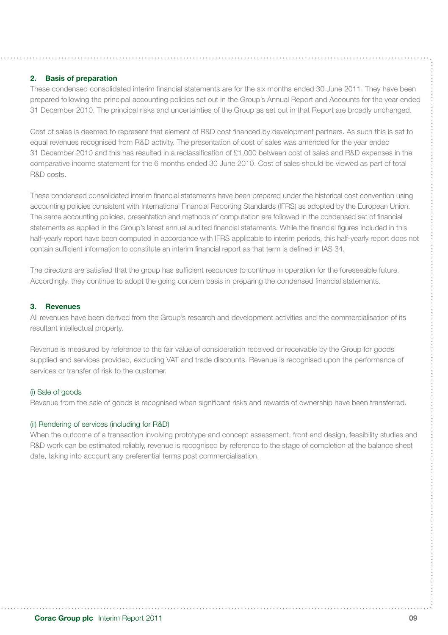### 2. Basis of preparation

These condensed consolidated interim financial statements are for the six months ended 30 June 2011. They have been prepared following the principal accounting policies set out in the Group's Annual Report and Accounts for the year ended 31 December 2010. The principal risks and uncertainties of the Group as set out in that Report are broadly unchanged.

Cost of sales is deemed to represent that element of R&D cost financed by development partners. As such this is set to equal revenues recognised from R&D activity. The presentation of cost of sales was amended for the year ended 31 December 2010 and this has resulted in a reclassification of £1,000 between cost of sales and R&D expenses in the comparative income statement for the 6 months ended 30 June 2010. Cost of sales should be viewed as part of total R&D costs.

These condensed consolidated interim financial statements have been prepared under the historical cost convention using accounting policies consistent with International Financial Reporting Standards (IFRS) as adopted by the European Union. The same accounting policies, presentation and methods of computation are followed in the condensed set of financial statements as applied in the Group's latest annual audited financial statements. While the financial figures included in this half-yearly report have been computed in accordance with IFRS applicable to interim periods, this half-yearly report does not contain sufficient information to constitute an interim financial report as that term is defined in IAS 34.

The directors are satisfied that the group has sufficient resources to continue in operation for the foreseeable future. Accordingly, they continue to adopt the going concern basis in preparing the condensed financial statements.

#### 3. Revenues

All revenues have been derived from the Group's research and development activities and the commercialisation of its resultant intellectual property.

Revenue is measured by reference to the fair value of consideration received or receivable by the Group for goods supplied and services provided, excluding VAT and trade discounts. Revenue is recognised upon the performance of services or transfer of risk to the customer.

### (i) Sale of goods

Revenue from the sale of goods is recognised when significant risks and rewards of ownership have been transferred.

#### (ii) Rendering of services (including for R&D)

When the outcome of a transaction involving prototype and concept assessment, front end design, feasibility studies and R&D work can be estimated reliably, revenue is recognised by reference to the stage of completion at the balance sheet date, taking into account any preferential terms post commercialisation.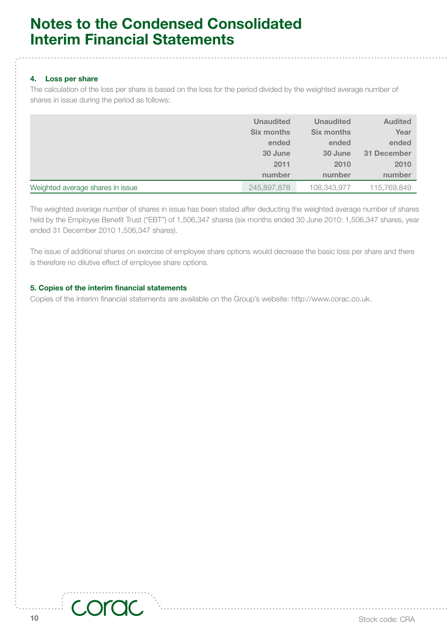### Notes to the Condensed Consolidated Interim Financial Statements

### 4. Loss per share

The calculation of the loss per share is based on the loss for the period divided by the weighted average number of shares in issue during the period as follows:

|                                  | <b>Unaudited</b> | <b>Unaudited</b> | <b>Audited</b> |
|----------------------------------|------------------|------------------|----------------|
|                                  | Six months       | Six months       | Year           |
|                                  | ended            | ended            | ended          |
|                                  | 30 June          | 30 June          | 31 December    |
|                                  | 2011             | 2010             | 2010           |
|                                  | number           | number           | number         |
| Weighted average shares in issue | 245,897,878      | 108,343,977      | 115,769,849    |

The weighted average number of shares in issue has been stated after deducting the weighted average number of shares held by the Employee Benefit Trust ("EBT") of 1,506,347 shares (six months ended 30 June 2010: 1,506,347 shares, year ended 31 December 2010 1,506,347 shares).

The issue of additional shares on exercise of employee share options would decrease the basic loss per share and there is therefore no dilutive effect of employee share options.

### 5. Copies of the interim financial statements

Copies of the interim financial statements are available on the Group's website: http://www.corac.co.uk.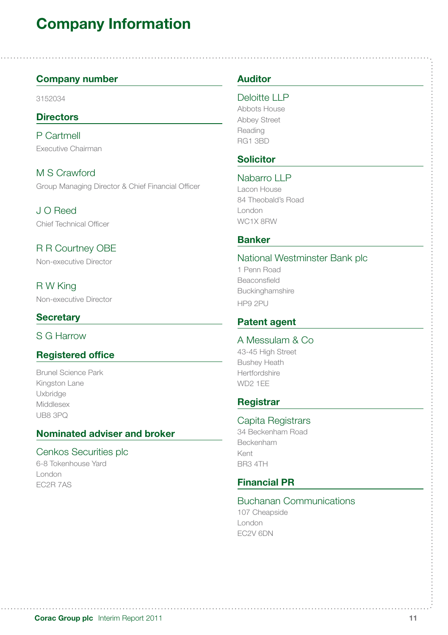### Company Information

### Company number

3152034

### **Directors**

P Cartmell Executive Chairman

M S Crawford Group Managing Director & Chief Financial Officer

J O Reed Chief Technical Officer

### R R Courtney OBE Non-executive Director

R W King Non-executive Director

### **Secretary**

S G Harrow

### Registered office

Brunel Science Park Kingston Lane Uxbridge Middlesex UB8 3PQ

### Nominated adviser and broker

Cenkos Securities plc 6-8 Tokenhouse Yard London EC2R 7AS

### Auditor

### Deloitte LLP

Abbots House Abbey Street Reading RG1 3BD

### Solicitor

### Nabarro LLP

Lacon House 84 Theobald's Road London WC1X 8RW

### Banker

### National Westminster Bank plc

1 Penn Road Beaconsfield Buckinghamshire HP9 2PU

### Patent agent

### A Messulam & Co 43-45 High Street Bushey Heath Hertfordshire WD2 1EE

### **Registrar**

### Capita Registrars

34 Beckenham Road Beckenham Kent BR3 4TH

### Financial PR

### Buchanan Communications

107 Cheapside London EC2V 6DN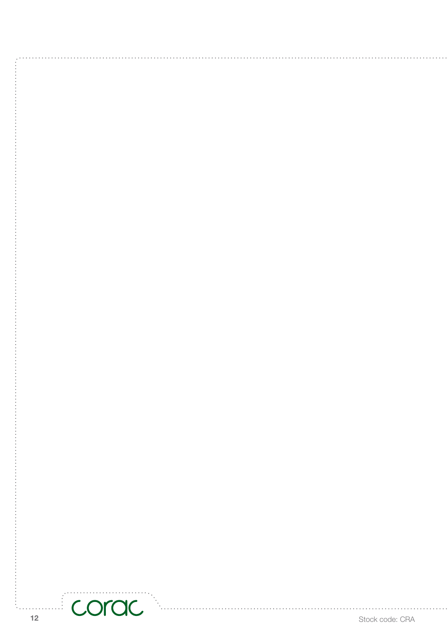